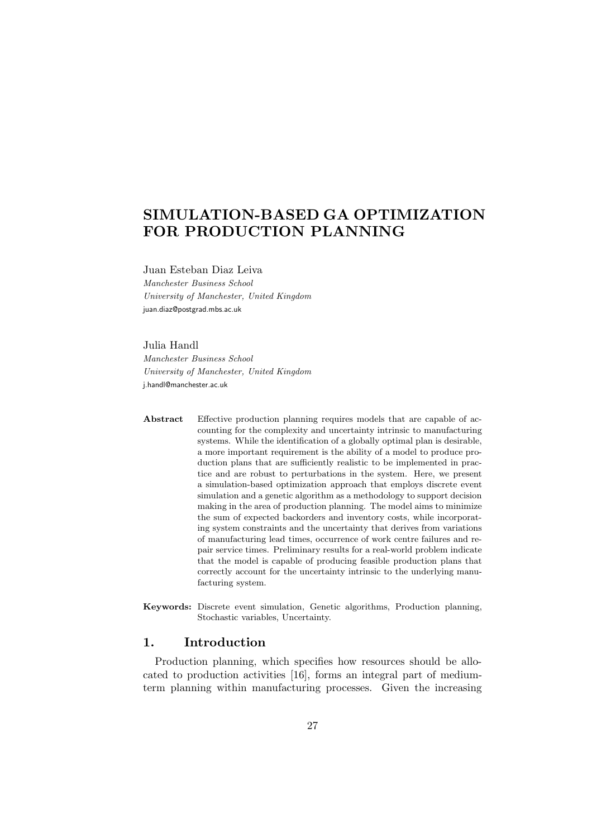# SIMULATION-BASED GA OPTIMIZATION FOR PRODUCTION PLANNING

Juan Esteban Diaz Leiva Manchester Business School University of Manchester, United Kingdom juan.diaz@postgrad.mbs.ac.uk

# Julia Handl

Manchester Business School University of Manchester, United Kingdom j.handl@manchester.ac.uk

- Abstract Effective production planning requires models that are capable of accounting for the complexity and uncertainty intrinsic to manufacturing systems. While the identification of a globally optimal plan is desirable, a more important requirement is the ability of a model to produce production plans that are sufficiently realistic to be implemented in practice and are robust to perturbations in the system. Here, we present a simulation-based optimization approach that employs discrete event simulation and a genetic algorithm as a methodology to support decision making in the area of production planning. The model aims to minimize the sum of expected backorders and inventory costs, while incorporating system constraints and the uncertainty that derives from variations of manufacturing lead times, occurrence of work centre failures and repair service times. Preliminary results for a real-world problem indicate that the model is capable of producing feasible production plans that correctly account for the uncertainty intrinsic to the underlying manufacturing system.
- Keywords: Discrete event simulation, Genetic algorithms, Production planning, Stochastic variables, Uncertainty.

# 1. Introduction

Production planning, which specifies how resources should be allocated to production activities [16], forms an integral part of mediumterm planning within manufacturing processes. Given the increasing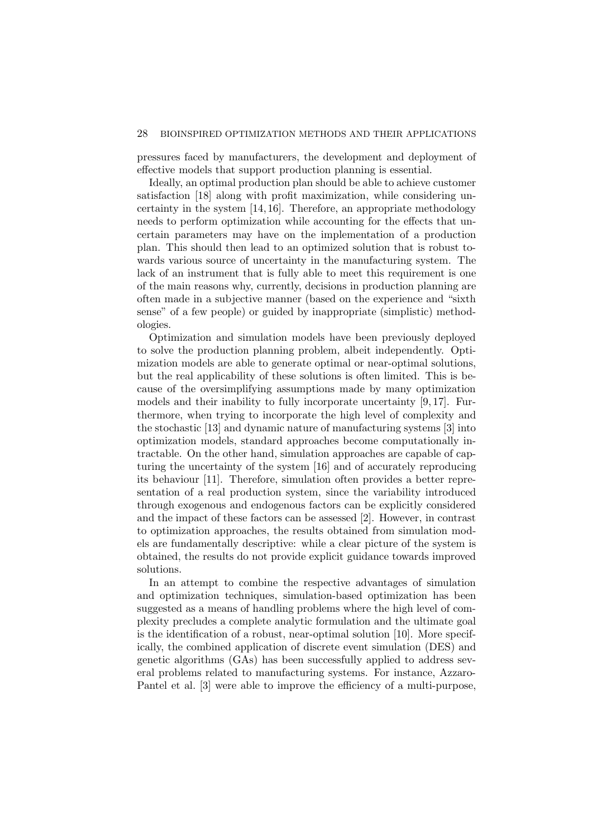#### 28 BIOINSPIRED OPTIMIZATION METHODS AND THEIR APPLICATIONS

pressures faced by manufacturers, the development and deployment of effective models that support production planning is essential.

Ideally, an optimal production plan should be able to achieve customer satisfaction [18] along with profit maximization, while considering uncertainty in the system [14, 16]. Therefore, an appropriate methodology needs to perform optimization while accounting for the effects that uncertain parameters may have on the implementation of a production plan. This should then lead to an optimized solution that is robust towards various source of uncertainty in the manufacturing system. The lack of an instrument that is fully able to meet this requirement is one of the main reasons why, currently, decisions in production planning are often made in a subjective manner (based on the experience and "sixth sense" of a few people) or guided by inappropriate (simplistic) methodologies.

Optimization and simulation models have been previously deployed to solve the production planning problem, albeit independently. Optimization models are able to generate optimal or near-optimal solutions, but the real applicability of these solutions is often limited. This is because of the oversimplifying assumptions made by many optimization models and their inability to fully incorporate uncertainty [9, 17]. Furthermore, when trying to incorporate the high level of complexity and the stochastic [13] and dynamic nature of manufacturing systems [3] into optimization models, standard approaches become computationally intractable. On the other hand, simulation approaches are capable of capturing the uncertainty of the system [16] and of accurately reproducing its behaviour [11]. Therefore, simulation often provides a better representation of a real production system, since the variability introduced through exogenous and endogenous factors can be explicitly considered and the impact of these factors can be assessed [2]. However, in contrast to optimization approaches, the results obtained from simulation models are fundamentally descriptive: while a clear picture of the system is obtained, the results do not provide explicit guidance towards improved solutions.

In an attempt to combine the respective advantages of simulation and optimization techniques, simulation-based optimization has been suggested as a means of handling problems where the high level of complexity precludes a complete analytic formulation and the ultimate goal is the identification of a robust, near-optimal solution [10]. More specifically, the combined application of discrete event simulation (DES) and genetic algorithms (GAs) has been successfully applied to address several problems related to manufacturing systems. For instance, Azzaro-Pantel et al. [3] were able to improve the efficiency of a multi-purpose,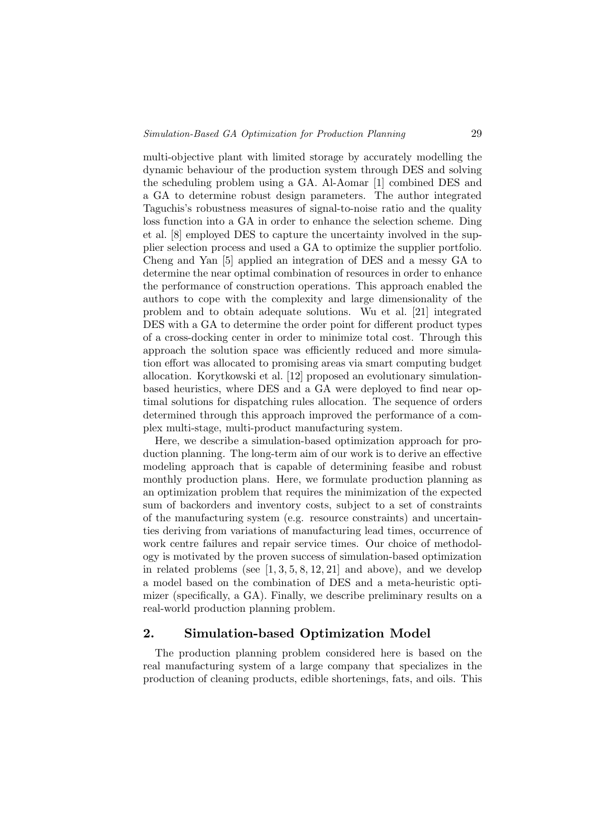multi-objective plant with limited storage by accurately modelling the dynamic behaviour of the production system through DES and solving the scheduling problem using a GA. Al-Aomar [1] combined DES and a GA to determine robust design parameters. The author integrated Taguchis's robustness measures of signal-to-noise ratio and the quality loss function into a GA in order to enhance the selection scheme. Ding et al. [8] employed DES to capture the uncertainty involved in the supplier selection process and used a GA to optimize the supplier portfolio. Cheng and Yan [5] applied an integration of DES and a messy GA to determine the near optimal combination of resources in order to enhance the performance of construction operations. This approach enabled the authors to cope with the complexity and large dimensionality of the problem and to obtain adequate solutions. Wu et al. [21] integrated DES with a GA to determine the order point for different product types of a cross-docking center in order to minimize total cost. Through this approach the solution space was efficiently reduced and more simulation effort was allocated to promising areas via smart computing budget allocation. Korytkowski et al. [12] proposed an evolutionary simulationbased heuristics, where DES and a GA were deployed to find near optimal solutions for dispatching rules allocation. The sequence of orders determined through this approach improved the performance of a complex multi-stage, multi-product manufacturing system.

Here, we describe a simulation-based optimization approach for production planning. The long-term aim of our work is to derive an effective modeling approach that is capable of determining feasibe and robust monthly production plans. Here, we formulate production planning as an optimization problem that requires the minimization of the expected sum of backorders and inventory costs, subject to a set of constraints of the manufacturing system (e.g. resource constraints) and uncertainties deriving from variations of manufacturing lead times, occurrence of work centre failures and repair service times. Our choice of methodology is motivated by the proven success of simulation-based optimization in related problems (see  $[1, 3, 5, 8, 12, 21]$  and above), and we develop a model based on the combination of DES and a meta-heuristic optimizer (specifically, a GA). Finally, we describe preliminary results on a real-world production planning problem.

## 2. Simulation-based Optimization Model

The production planning problem considered here is based on the real manufacturing system of a large company that specializes in the production of cleaning products, edible shortenings, fats, and oils. This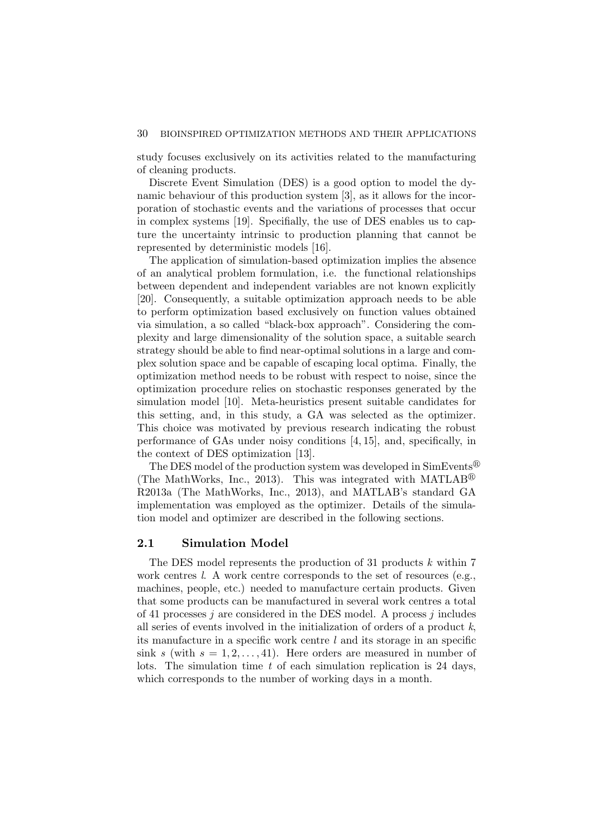study focuses exclusively on its activities related to the manufacturing of cleaning products.

Discrete Event Simulation (DES) is a good option to model the dynamic behaviour of this production system [3], as it allows for the incorporation of stochastic events and the variations of processes that occur in complex systems [19]. Specifially, the use of DES enables us to capture the uncertainty intrinsic to production planning that cannot be represented by deterministic models [16].

The application of simulation-based optimization implies the absence of an analytical problem formulation, i.e. the functional relationships between dependent and independent variables are not known explicitly [20]. Consequently, a suitable optimization approach needs to be able to perform optimization based exclusively on function values obtained via simulation, a so called "black-box approach". Considering the complexity and large dimensionality of the solution space, a suitable search strategy should be able to find near-optimal solutions in a large and complex solution space and be capable of escaping local optima. Finally, the optimization method needs to be robust with respect to noise, since the optimization procedure relies on stochastic responses generated by the simulation model [10]. Meta-heuristics present suitable candidates for this setting, and, in this study, a GA was selected as the optimizer. This choice was motivated by previous research indicating the robust performance of GAs under noisy conditions [4, 15], and, specifically, in the context of DES optimization [13].

The DES model of the production system was developed in  $SimEvents^{\textcircled{\tiny{\textregistered}}\xspace}$ (The MathWorks, Inc., 2013). This was integrated with MATLAB<sup>®</sup> R2013a (The MathWorks, Inc., 2013), and MATLAB's standard GA implementation was employed as the optimizer. Details of the simulation model and optimizer are described in the following sections.

# 2.1 Simulation Model

The DES model represents the production of 31 products k within 7 work centres l. A work centre corresponds to the set of resources (e.g., machines, people, etc.) needed to manufacture certain products. Given that some products can be manufactured in several work centres a total of 41 processes  $j$  are considered in the DES model. A process  $j$  includes all series of events involved in the initialization of orders of a product  $k$ , its manufacture in a specific work centre  $l$  and its storage in an specific sink s (with  $s = 1, 2, \ldots, 41$ ). Here orders are measured in number of lots. The simulation time t of each simulation replication is 24 days, which corresponds to the number of working days in a month.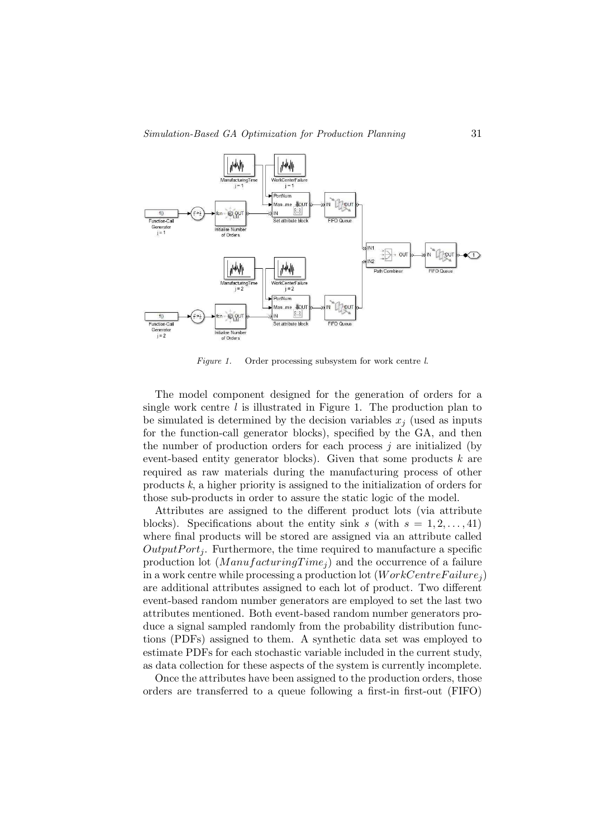

Figure 1. Order processing subsystem for work centre l.

The model component designed for the generation of orders for a single work centre  $l$  is illustrated in Figure 1. The production plan to be simulated is determined by the decision variables  $x_i$  (used as inputs for the function-call generator blocks), specified by the GA, and then the number of production orders for each process  $j$  are initialized (by event-based entity generator blocks). Given that some products k are required as raw materials during the manufacturing process of other products  $k$ , a higher priority is assigned to the initialization of orders for those sub-products in order to assure the static logic of the model.

Attributes are assigned to the different product lots (via attribute blocks). Specifications about the entity sink s (with  $s = 1, 2, \ldots, 41$ ) where final products will be stored are assigned via an attribute called  $OutputPort_i$ . Furthermore, the time required to manufacture a specific production lot  $(ManufacturingTime<sub>i</sub>)$  and the occurrence of a failure in a work centre while processing a production lot  $(WorkCentreFailure_i)$ are additional attributes assigned to each lot of product. Two different event-based random number generators are employed to set the last two attributes mentioned. Both event-based random number generators produce a signal sampled randomly from the probability distribution functions (PDFs) assigned to them. A synthetic data set was employed to estimate PDFs for each stochastic variable included in the current study, as data collection for these aspects of the system is currently incomplete.

Once the attributes have been assigned to the production orders, those orders are transferred to a queue following a first-in first-out (FIFO)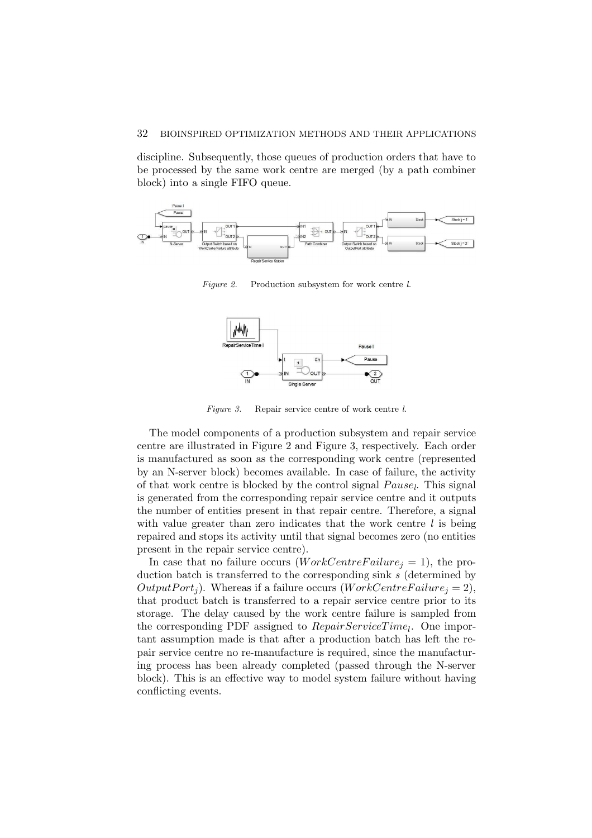#### 32 BIOINSPIRED OPTIMIZATION METHODS AND THEIR APPLICATIONS

discipline. Subsequently, those queues of production orders that have to be processed by the same work centre are merged (by a path combiner block) into a single FIFO queue.



Figure 2. Production subsystem for work centre l.



Figure 3. Repair service centre of work centre l.

The model components of a production subsystem and repair service centre are illustrated in Figure 2 and Figure 3, respectively. Each order is manufactured as soon as the corresponding work centre (represented by an N-server block) becomes available. In case of failure, the activity of that work centre is blocked by the control signal  $Pause_l$ . This signal is generated from the corresponding repair service centre and it outputs the number of entities present in that repair centre. Therefore, a signal with value greater than zero indicates that the work centre  $l$  is being repaired and stops its activity until that signal becomes zero (no entities present in the repair service centre).

In case that no failure occurs (*WorkCentreFailure<sub>j</sub>* = 1), the production batch is transferred to the corresponding sink s (determined by OutputPort<sub>i</sub>). Whereas if a failure occurs (WorkCentreFailure<sub>i</sub> = 2), that product batch is transferred to a repair service centre prior to its storage. The delay caused by the work centre failure is sampled from the corresponding PDF assigned to  $RepairServiceTime_l$ . One important assumption made is that after a production batch has left the repair service centre no re-manufacture is required, since the manufacturing process has been already completed (passed through the N-server block). This is an effective way to model system failure without having conflicting events.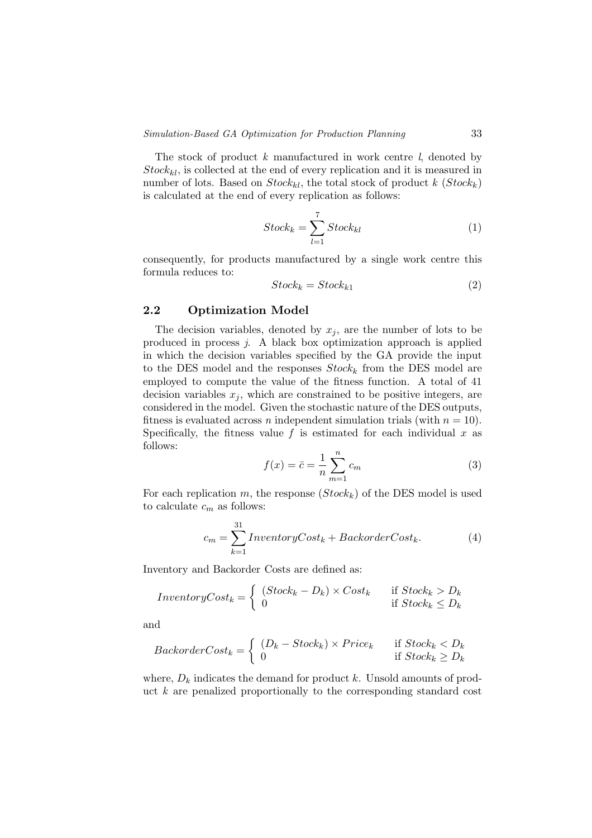The stock of product  $k$  manufactured in work centre  $l$ , denoted by  $Stock_{kl}$ , is collected at the end of every replication and it is measured in number of lots. Based on  $Stock_{kl}$ , the total stock of product k  $(Stock_k)$ is calculated at the end of every replication as follows:

$$
Stock_k = \sum_{l=1}^{7} Stock_{kl} \tag{1}
$$

consequently, for products manufactured by a single work centre this formula reduces to:

$$
Stock_k = Stock_{k1} \tag{2}
$$

### 2.2 Optimization Model

The decision variables, denoted by  $x_j$ , are the number of lots to be produced in process j. A black box optimization approach is applied in which the decision variables specified by the GA provide the input to the DES model and the responses  $Stock_k$  from the DES model are employed to compute the value of the fitness function. A total of 41 decision variables  $x_j$ , which are constrained to be positive integers, are considered in the model. Given the stochastic nature of the DES outputs, fitness is evaluated across *n* independent simulation trials (with  $n = 10$ ). Specifically, the fitness value f is estimated for each individual x as follows:

$$
f(x) = \bar{c} = \frac{1}{n} \sum_{m=1}^{n} c_m
$$
 (3)

For each replication m, the response  $(Stock_k)$  of the DES model is used to calculate  $c_m$  as follows:

$$
c_m = \sum_{k=1}^{31} InventoryCost_k + BackorderCost_k.
$$
 (4)

Inventory and Backorder Costs are defined as:

$$
InventoryCost_k = \begin{cases} (Stock_k - D_k) \times Cost_k & \text{if } Stock_k > D_k \\ 0 & \text{if } Stock_k \le D_k \end{cases}
$$

and

$$
BackorderCost_k = \begin{cases} (D_k - Stock_k) \times Price_k & \text{if } Stock_k < D_k \\ 0 & \text{if } Stock_k \ge D_k \end{cases}
$$

where,  $D_k$  indicates the demand for product k. Unsold amounts of product  $k$  are penalized proportionally to the corresponding standard cost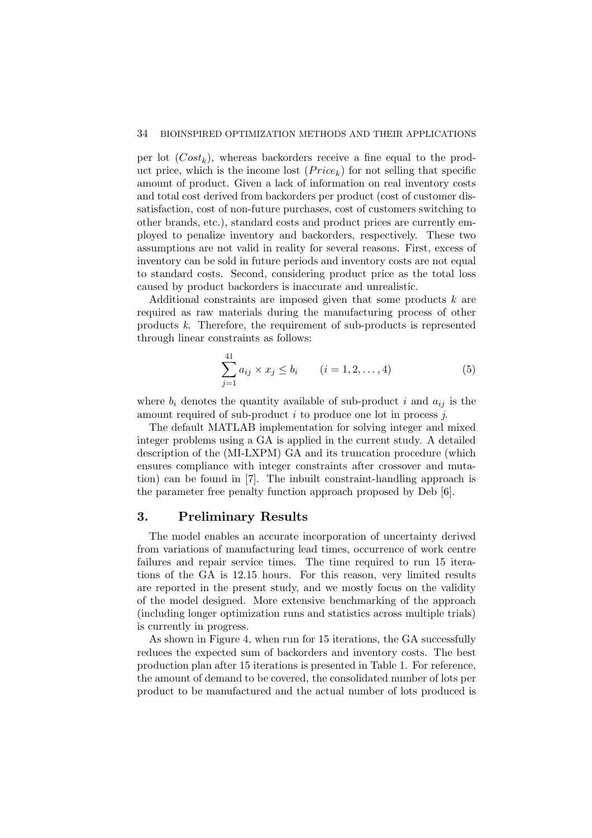per lot  $(Cost_k)$ , whereas backorders receive a fine equal to the product price, which is the income lost  $(Price_k)$  for not selling that specific amount of product. Given a lack of information on real inventory costs and total cost derived from backorders per product (cost of customer dissatisfaction, cost of non-future purchases, cost of customers switching to other brands, etc.), standard costs and product prices are currently employed to penalize inventory and backorders, respectively. These two assumptions are not valid in reality for several reasons. First, excess of inventory can be sold in future periods and inventory costs are not equal to standard costs. Second, considering product price as the total loss caused by product backorders is inaccurate and unrealistic.

Additional constraints are imposed given that some products k are required as raw materials during the manufacturing process of other products k. Therefore, the requirement of sub-products is represented through linear constraints as follows:

$$
\sum_{j=1}^{41} a_{ij} \times x_j \le b_i \qquad (i = 1, 2, \dots, 4)
$$
 (5)

where  $b_i$  denotes the quantity available of sub-product i and  $a_{ij}$  is the amount required of sub-product i to produce one lot in process j.

The default MATLAB implementation for solving integer and mixed integer problems using a GA is applied in the current study. A detailed description of the (MI-LXPM) GA and its truncation procedure (which ensures compliance with integer constraints after crossover and mutation) can be found in [7]. The inbuilt constraint-handling approach is the parameter free penalty function approach proposed by Deb [6].

# 3. Preliminary Results

The model enables an accurate incorporation of uncertainty derived from variations of manufacturing lead times, occurrence of work centre failures and repair service times. The time required to run 15 iterations of the GA is 12.15 hours. For this reason, very limited results are reported in the present study, and we mostly focus on the validity of the model designed. More extensive benchmarking of the approach (including longer optimization runs and statistics across multiple trials) is currently in progress.

As shown in Figure 4, when run for 15 iterations, the GA successfully reduces the expected sum of backorders and inventory costs. The best production plan after 15 iterations is presented in Table 1. For reference, the amount of demand to be covered, the consolidated number of lots per product to be manufactured and the actual number of lots produced is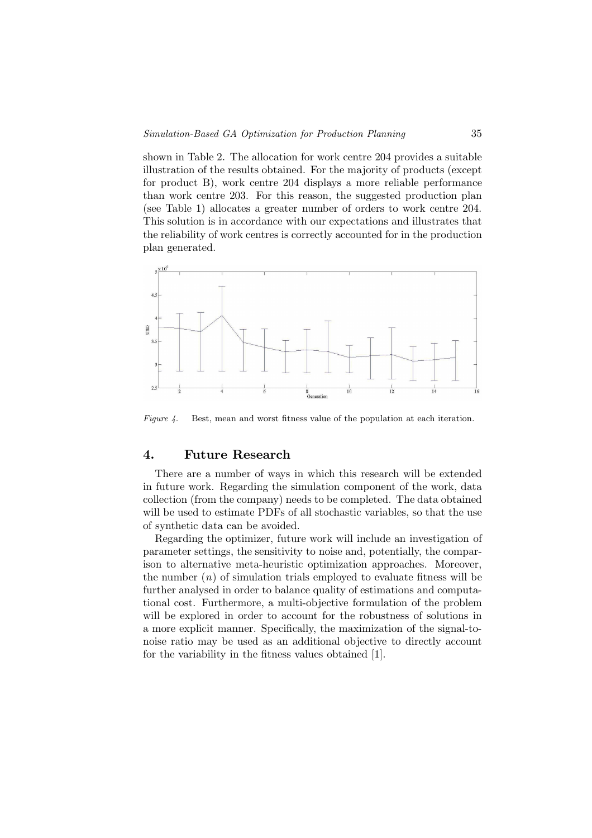shown in Table 2. The allocation for work centre 204 provides a suitable illustration of the results obtained. For the majority of products (except for product B), work centre 204 displays a more reliable performance than work centre 203. For this reason, the suggested production plan (see Table 1) allocates a greater number of orders to work centre 204. This solution is in accordance with our expectations and illustrates that the reliability of work centres is correctly accounted for in the production plan generated.



Figure 4. Best, mean and worst fitness value of the population at each iteration.

## 4. Future Research

There are a number of ways in which this research will be extended in future work. Regarding the simulation component of the work, data collection (from the company) needs to be completed. The data obtained will be used to estimate PDFs of all stochastic variables, so that the use of synthetic data can be avoided.

Regarding the optimizer, future work will include an investigation of parameter settings, the sensitivity to noise and, potentially, the comparison to alternative meta-heuristic optimization approaches. Moreover, the number  $(n)$  of simulation trials employed to evaluate fitness will be further analysed in order to balance quality of estimations and computational cost. Furthermore, a multi-objective formulation of the problem will be explored in order to account for the robustness of solutions in a more explicit manner. Specifically, the maximization of the signal-tonoise ratio may be used as an additional objective to directly account for the variability in the fitness values obtained [1].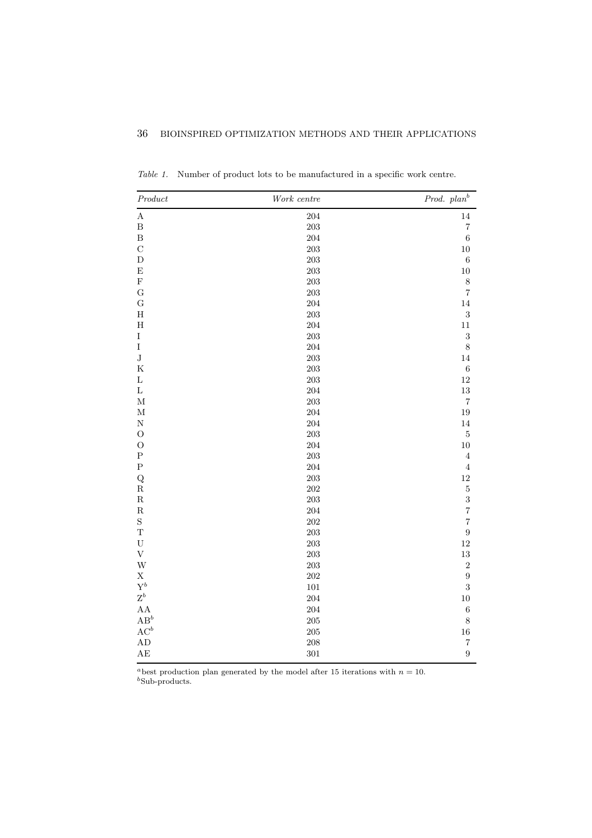| $Product$                 | $Work\ centre$ | Prod. plan <sup>b</sup> |
|---------------------------|----------------|-------------------------|
| $\mathbf A$               | 204            | $14\,$                  |
| $\, {\bf B}$              | $203\,$        | $\overline{7}$          |
| $\overline{B}$            | 204            | $\,$ 6 $\,$             |
| $\mathcal{C}$             | $203\,$        | $10\,$                  |
| $\mathbf D$               | $203\,$        | $\,6$                   |
| $\mathbf E$               | $203\,$        | $10\,$                  |
| ${\bf F}$                 | $203\,$        | $\,$ $\,$               |
| $\mathbf G$               | $203\,$        | $\overline{7}$          |
| $\mathbf G$               | $\,204$        | $14\,$                  |
| $\rm H$                   | $203\,$        | $\sqrt{3}$              |
| $\rm H$                   | $\,204$        | $11\,$                  |
| $\rm I$                   | $203\,$        | $\sqrt{3}$              |
| $\rm I$                   | $\,204$        | $8\,$                   |
| $\bf J$                   | $203\,$        | 14                      |
| $\rm K$                   | $\,203$        | $\,6$                   |
| $\mathbf L$               | $203\,$        | $12\,$                  |
| $\mathbf L$               | $\,204$        | $13\,$                  |
| $\mathbf M$               | $\,203$        | $\overline{\mathbf{7}}$ |
| $\mathbf M$               | $\,204$        | $19\,$                  |
| $\mathbf N$               | 204            | $14\,$                  |
| $\mathcal{O}$             | $203\,$        | $\bf 5$                 |
| $\mathcal O$              | $\,204$        | $10\,$                  |
| ${\bf P}$                 | $\,203$        | $\bf 4$                 |
| ${\bf P}$                 | 204            | $\bf 4$                 |
| $\mathbf Q$               | $203\,$        | $12\,$                  |
| ${\bf R}$                 | $202\,$        | $\bf 5$                 |
| ${\bf R}$                 | $\,203$        | $\overline{\mathbf{3}}$ |
| ${\bf R}$                 | 204            | $\overline{7}$          |
| $\mathbf S$               | $202\,$        | $\overline{7}$          |
| $\mathbf T$               | $\,203$        | $\boldsymbol{9}$        |
| ${\bf U}$                 | $\,203$        | $12\,$                  |
| $\ensuremath{\mathbf{V}}$ | $203\,$        | $13\,$                  |
| W                         | $203\,$        | $\sqrt{2}$              |
| $\rm X$                   | $202\,$        | $\boldsymbol{9}$        |
| $\mathbf{Y}^b$            | $101\,$        | $\sqrt{3}$              |
| $\mathbf{Z}^b$            | 204            | $10\,$                  |
| AA                        | $\,204$        | $\,6$                   |
| $\mathbf{A}\mathbf{B}^b$  | $205\,$        | $\,$ $\,$               |
| $\mathbf{AC}^b$           | $205\,$        | $16\,$                  |
| AD                        | $208\,$        | $\sqrt{ }$              |
| AE                        | 301            | $\boldsymbol{9}$        |

Table 1. Number of product lots to be manufactured in a specific work centre.

<sup>a</sup>best production plan generated by the model after 15 iterations with  $n = 10$ .  $b$ Sub-products.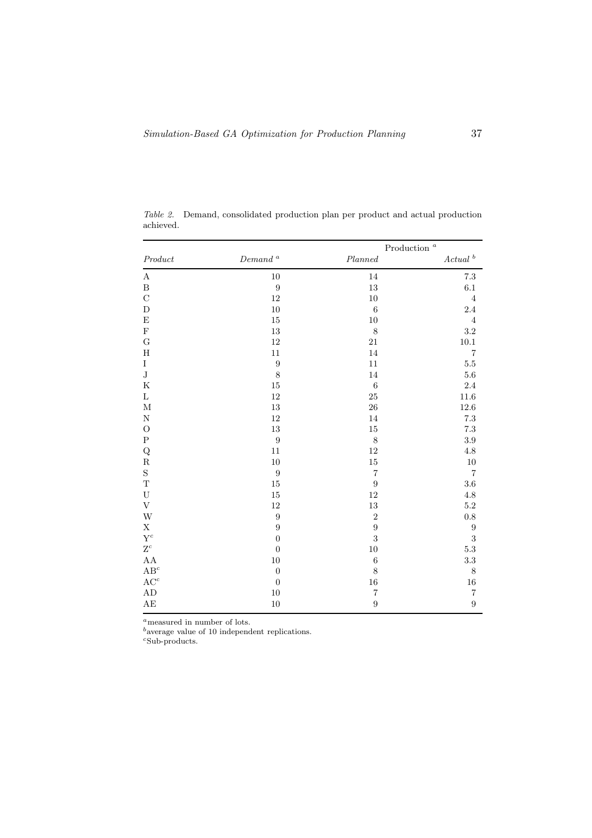|                          |                      | Production $\,^a$       |                       |
|--------------------------|----------------------|-------------------------|-----------------------|
| $Product$                | $\emph{Demand}$ $^a$ | Planned                 | $Actual$ <sup>b</sup> |
| $\boldsymbol{A}$         | $10\,$               | 14                      | $7.3\,$               |
| $\, {\bf B}$             | $\boldsymbol{9}$     | $13\,$                  | $6.1\,$               |
| $\mathcal{C}$            | 12                   | $10\,$                  | $\overline{4}$        |
| $\mathbf D$              | $10\,$               | $\,6\,$                 | 2.4                   |
| $\mathbf E$              | $15\,$               | $10\,$                  | $\overline{4}$        |
| $\mathbf F$              | 13                   | $\,8\,$                 | 3.2                   |
| $\mathbf G$              | 12                   | $21\,$                  | $10.1\,$              |
| $\mathbf H$              | $11\,$               | 14                      | $\overline{7}$        |
| $\rm I$                  | $\boldsymbol{9}$     | $11\,$                  | $5.5\,$               |
| $_{\rm J}$               | 8                    | 14                      | 5.6                   |
| $_{\rm K}$               | 15                   | $\,6\,$                 | 2.4                   |
| Г                        | 12                   | 25                      | 11.6                  |
| $\mathbf M$              | 13                   | ${\bf 26}$              | 12.6                  |
| ${\bf N}$                | $12\,$               | 14                      | 7.3                   |
| $\mathcal{O}$            | 13                   | $15\,$                  | $7.3\,$               |
| ${\bf P}$                | $\boldsymbol{9}$     | $8\,$                   | $3.9\,$               |
| ${\bf Q}$                | $11\,$               | $12\,$                  | $4.8\,$               |
| ${\bf R}$                | $10\,$               | $15\,$                  | 10                    |
| $\mathbf S$              | $\boldsymbol{9}$     | $\overline{\mathbf{7}}$ | $\overline{7}$        |
| $\mathbf T$              | 15                   | $\boldsymbol{9}$        | $3.6\,$               |
| ${\bf U}$                | 15                   | 12                      | $4.8\,$               |
| $\mathbf{V}$             | 12                   | $13\,$                  | $5.2\,$               |
| W                        | $\overline{9}$       | $\overline{2}$          | $\rm 0.8$             |
| $\mathbf X$              | $\boldsymbol{9}$     | $\boldsymbol{9}$        | $\boldsymbol{9}$      |
| $\mathbf{Y}^c$           | $\boldsymbol{0}$     | $\overline{3}$          | 3                     |
| $\mathbf{Z}^c$           | $\boldsymbol{0}$     | $10\,$                  | $5.3\,$               |
| ${\rm AA}$               | $10\,$               | $\,6\,$                 | $\!3.3\!$             |
| $\mathbf{A}\mathbf{B}^c$ | $\boldsymbol{0}$     | 8                       | 8                     |
| $\mathbf{AC}^c$          | $\boldsymbol{0}$     | 16                      | $16\,$                |
| $\mathbf{A}\mathbf{D}$   | $10\,$               | $\overline{\mathbf{7}}$ | $\overline{7}$        |
| $\mathbf{A}\mathbf{E}$   | $10\,$               | $\boldsymbol{9}$        | $\overline{9}$        |

Table 2. Demand, consolidated production plan per product and actual production achieved.

 $a$  measured in number of lots.

 $<sup>b</sup>$ average value of 10 independent replications.</sup>

 $c$ Sub-products.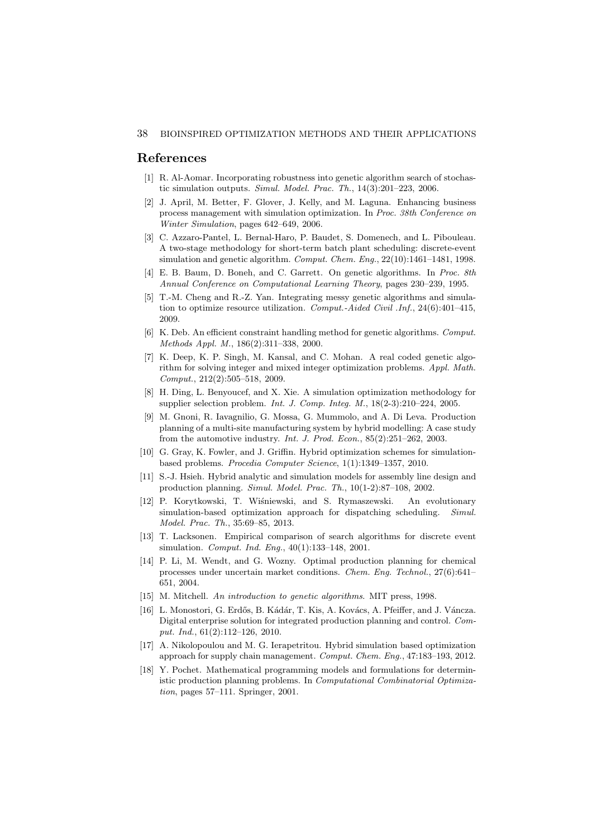### References

- [1] R. Al-Aomar. Incorporating robustness into genetic algorithm search of stochastic simulation outputs. Simul. Model. Prac. Th., 14(3):201–223, 2006.
- [2] J. April, M. Better, F. Glover, J. Kelly, and M. Laguna. Enhancing business process management with simulation optimization. In Proc. 38th Conference on Winter Simulation, pages 642–649, 2006.
- [3] C. Azzaro-Pantel, L. Bernal-Haro, P. Baudet, S. Domenech, and L. Pibouleau. A two-stage methodology for short-term batch plant scheduling: discrete-event simulation and genetic algorithm. Comput. Chem. Eng., 22(10):1461-1481, 1998.
- [4] E. B. Baum, D. Boneh, and C. Garrett. On genetic algorithms. In Proc. 8th Annual Conference on Computational Learning Theory, pages 230–239, 1995.
- [5] T.-M. Cheng and R.-Z. Yan. Integrating messy genetic algorithms and simulation to optimize resource utilization. Comput.-Aided Civil .Inf., 24(6):401-415, 2009.
- [6] K. Deb. An efficient constraint handling method for genetic algorithms. Comput. Methods Appl. M., 186(2):311–338, 2000.
- [7] K. Deep, K. P. Singh, M. Kansal, and C. Mohan. A real coded genetic algorithm for solving integer and mixed integer optimization problems. Appl. Math. Comput., 212(2):505–518, 2009.
- [8] H. Ding, L. Benyoucef, and X. Xie. A simulation optimization methodology for supplier selection problem. Int. J. Comp. Integ. M., 18(2-3):210–224, 2005.
- [9] M. Gnoni, R. Iavagnilio, G. Mossa, G. Mummolo, and A. Di Leva. Production planning of a multi-site manufacturing system by hybrid modelling: A case study from the automotive industry. Int. J. Prod. Econ., 85(2):251–262, 2003.
- [10] G. Gray, K. Fowler, and J. Griffin. Hybrid optimization schemes for simulationbased problems. Procedia Computer Science, 1(1):1349–1357, 2010.
- [11] S.-J. Hsieh. Hybrid analytic and simulation models for assembly line design and production planning. Simul. Model. Prac. Th., 10(1-2):87–108, 2002.
- [12] P. Korytkowski, T. Wiśniewski, and S. Rymaszewski. An evolutionary simulation-based optimization approach for dispatching scheduling. Simul. Model. Prac. Th., 35:69–85, 2013.
- [13] T. Lacksonen. Empirical comparison of search algorithms for discrete event simulation. *Comput. Ind. Eng.*, 40(1):133-148, 2001.
- [14] P. Li, M. Wendt, and G. Wozny. Optimal production planning for chemical processes under uncertain market conditions. Chem. Eng. Technol., 27(6):641– 651, 2004.
- [15] M. Mitchell. An introduction to genetic algorithms. MIT press, 1998.
- [16] L. Monostori, G. Erdős, B. Kádár, T. Kis, A. Kovács, A. Pfeiffer, and J. Váncza. Digital enterprise solution for integrated production planning and control. Comput. Ind., 61(2):112–126, 2010.
- [17] A. Nikolopoulou and M. G. Ierapetritou. Hybrid simulation based optimization approach for supply chain management. Comput. Chem. Eng., 47:183–193, 2012.
- [18] Y. Pochet. Mathematical programming models and formulations for deterministic production planning problems. In Computational Combinatorial Optimization, pages 57–111. Springer, 2001.